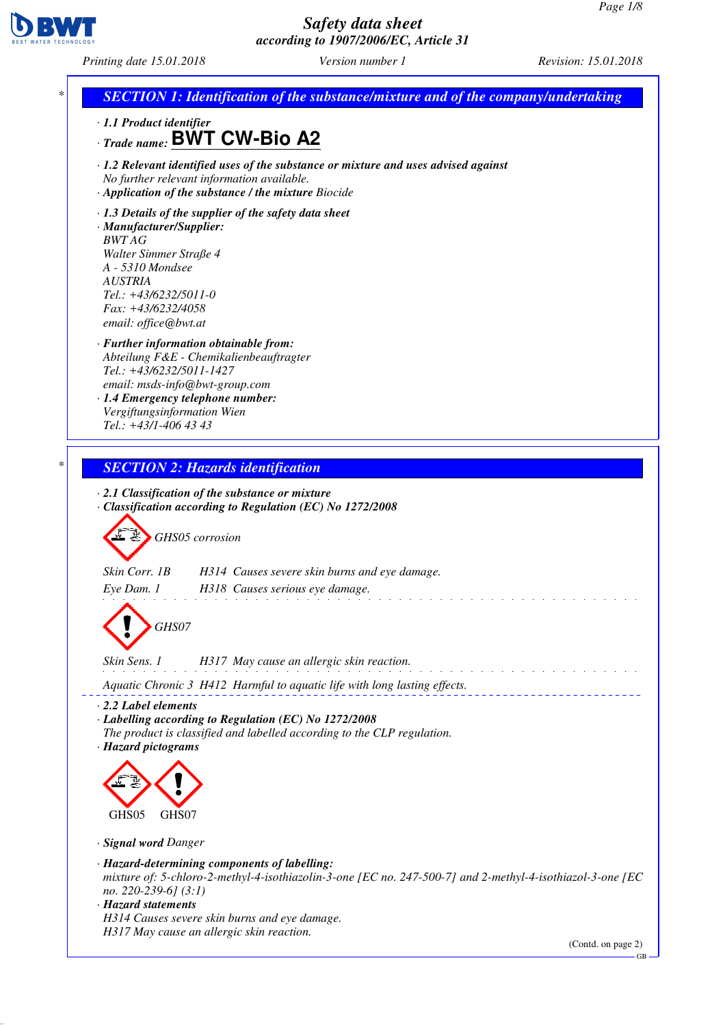

*Printing date 15.01.2018 Version number 1 Revision: 15.01.2018*



(Contd. on page 2)

GB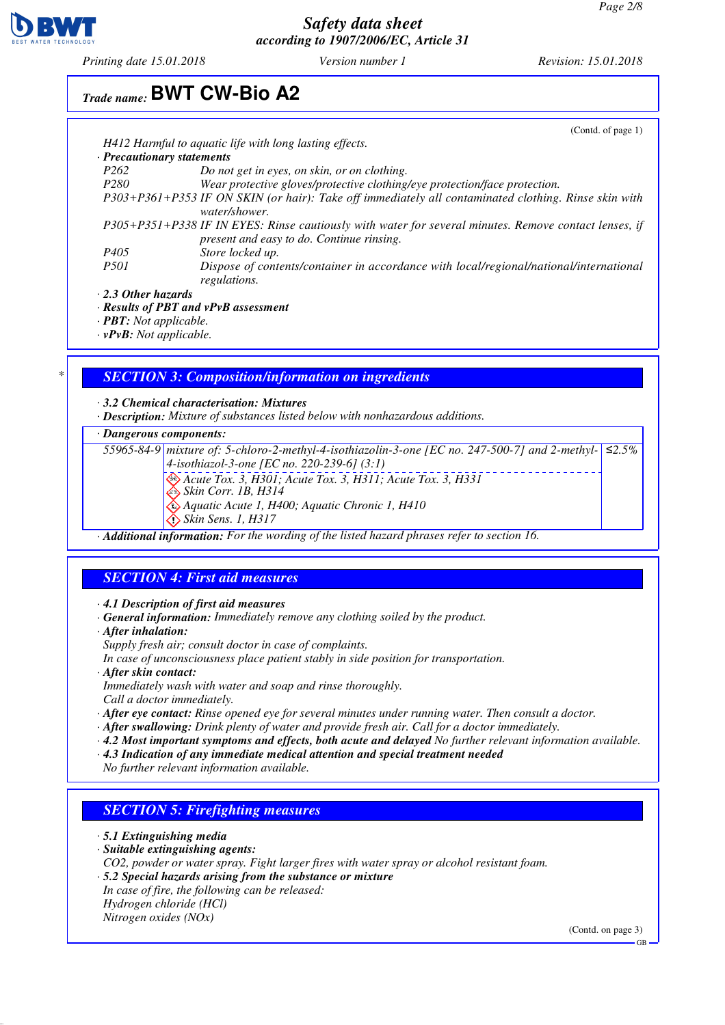

*Printing date 15.01.2018 Version number 1 Revision: 15.01.2018*

# *Trade name:* **BWT CW-Bio A2**

|                                            | (Contd. of page $1$ )                                                                                                                              |
|--------------------------------------------|----------------------------------------------------------------------------------------------------------------------------------------------------|
|                                            | H412 Harmful to aquatic life with long lasting effects.                                                                                            |
| · Precautionary statements                 |                                                                                                                                                    |
| P <sub>262</sub>                           | Do not get in eyes, on skin, or on clothing.                                                                                                       |
| P <sub>280</sub>                           | Wear protective gloves/protective clothing/eye protection/face protection.                                                                         |
|                                            | P303+P361+P353 IF ON SKIN (or hair): Take off immediately all contaminated clothing. Rinse skin with<br>water/shower.                              |
|                                            | P305+P351+P338 IF IN EYES: Rinse cautiously with water for several minutes. Remove contact lenses, if<br>present and easy to do. Continue rinsing. |
| P <sub>405</sub>                           | Store locked up.                                                                                                                                   |
| <i>P501</i>                                | Dispose of contents/container in accordance with local/regional/national/international<br>regulations.                                             |
| $\cdot$ 2.3 Other hazards                  |                                                                                                                                                    |
| $\cdot$ Results of PBT and vPvB assessment |                                                                                                                                                    |
| $\cdot$ <b>PBT:</b> Not applicable.        |                                                                                                                                                    |

*· vPvB: Not applicable.*

#### *\* SECTION 3: Composition/information on ingredients*

*· 3.2 Chemical characterisation: Mixtures*

*· Description: Mixture of substances listed below with nonhazardous additions.*

#### *· Dangerous components:*

*55965-84-9 mixture of: 5-chloro-2-methyl-4-isothiazolin-3-one [EC no. 247-500-7] and 2-methyl-≤2.5% 4-isothiazol-3-one [EC no. 220-239-6] (3:1) Acute Tox. 3, H301; Acute Tox. 3, H311; Acute Tox. 3, H331*

 *Skin Corr. 1B, H314*

 *Aquatic Acute 1, H400; Aquatic Chronic 1, H410*

 *Skin Sens. 1, H317*

*· Additional information: For the wording of the listed hazard phrases refer to section 16.*

#### *SECTION 4: First aid measures*

*· 4.1 Description of first aid measures*

- *· General information: Immediately remove any clothing soiled by the product.*
- *· After inhalation:*
- *Supply fresh air; consult doctor in case of complaints.*

*In case of unconsciousness place patient stably in side position for transportation.*

*· After skin contact:*

*Immediately wash with water and soap and rinse thoroughly. Call a doctor immediately.*

- *· After eye contact: Rinse opened eye for several minutes under running water. Then consult a doctor.*
- *· After swallowing: Drink plenty of water and provide fresh air. Call for a doctor immediately.*
- *· 4.2 Most important symptoms and effects, both acute and delayed No further relevant information available.*
- *· 4.3 Indication of any immediate medical attention and special treatment needed*

*No further relevant information available.*

### *SECTION 5: Firefighting measures*

- *· 5.1 Extinguishing media*
- *· Suitable extinguishing agents:*
- *CO2, powder or water spray. Fight larger fires with water spray or alcohol resistant foam.*
- *· 5.2 Special hazards arising from the substance or mixture*
- *In case of fire, the following can be released:*
- *Hydrogen chloride (HCl) Nitrogen oxides (NOx)*

(Contd. on page 3)

GB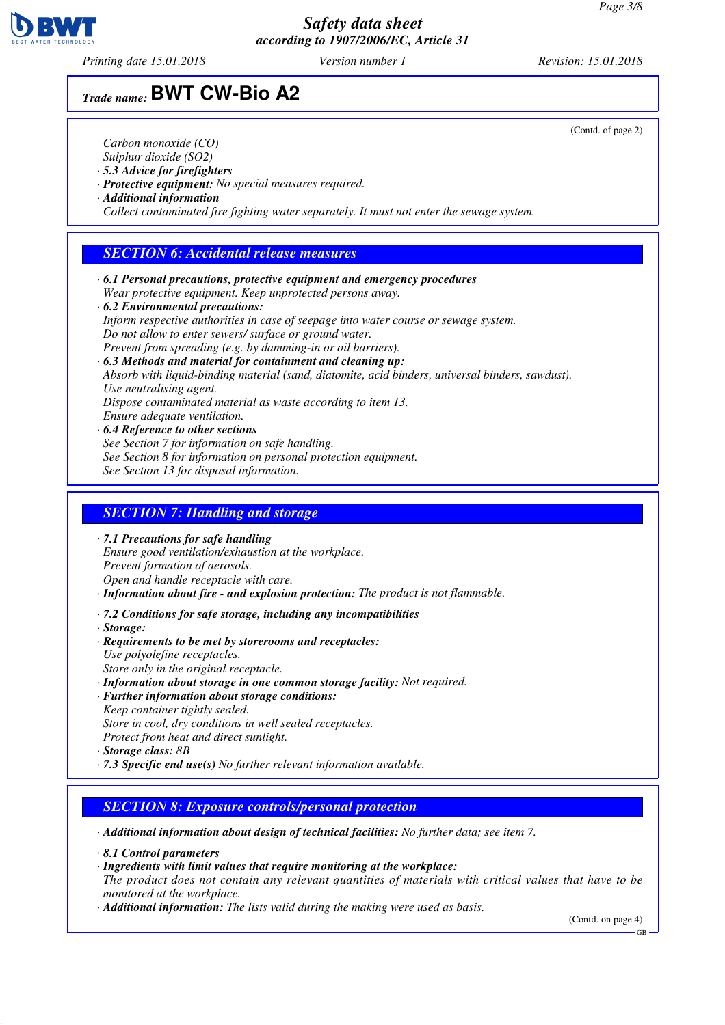*Printing date 15.01.2018 Version number 1 Revision: 15.01.2018*

## *Trade name:* **BWT CW-Bio A2**

*Carbon monoxide (CO)*

- *Sulphur dioxide (SO2)*
- *· 5.3 Advice for firefighters*
- *· Protective equipment: No special measures required.*
- *· Additional information*

*Collect contaminated fire fighting water separately. It must not enter the sewage system.*

## *SECTION 6: Accidental release measures*

- *· 6.1 Personal precautions, protective equipment and emergency procedures Wear protective equipment. Keep unprotected persons away.*
- *· 6.2 Environmental precautions: Inform respective authorities in case of seepage into water course or sewage system. Do not allow to enter sewers/ surface or ground water. Prevent from spreading (e.g. by damming-in or oil barriers).*

*· 6.3 Methods and material for containment and cleaning up: Absorb with liquid-binding material (sand, diatomite, acid binders, universal binders, sawdust). Use neutralising agent. Dispose contaminated material as waste according to item 13. Ensure adequate ventilation.*

*· 6.4 Reference to other sections See Section 7 for information on safe handling. See Section 8 for information on personal protection equipment. See Section 13 for disposal information.*

#### *SECTION 7: Handling and storage*

*· 7.1 Precautions for safe handling Ensure good ventilation/exhaustion at the workplace. Prevent formation of aerosols. Open and handle receptacle with care.*

*· Information about fire - and explosion protection: The product is not flammable.*

- *· 7.2 Conditions for safe storage, including any incompatibilities*
- *· Storage:*
- *· Requirements to be met by storerooms and receptacles: Use polyolefine receptacles. Store only in the original receptacle.*
- *· Information about storage in one common storage facility: Not required.*
- *· Further information about storage conditions: Keep container tightly sealed. Store in cool, dry conditions in well sealed receptacles. Protect from heat and direct sunlight.*
- *· Storage class: 8B*
- *· 7.3 Specific end use(s) No further relevant information available.*

#### *SECTION 8: Exposure controls/personal protection*

*· Additional information about design of technical facilities: No further data; see item 7.*

*· 8.1 Control parameters*

*· Ingredients with limit values that require monitoring at the workplace:*

*The product does not contain any relevant quantities of materials with critical values that have to be monitored at the workplace.*

*· Additional information: The lists valid during the making were used as basis.*

(Contd. on page 4)

GB



(Contd. of page 2)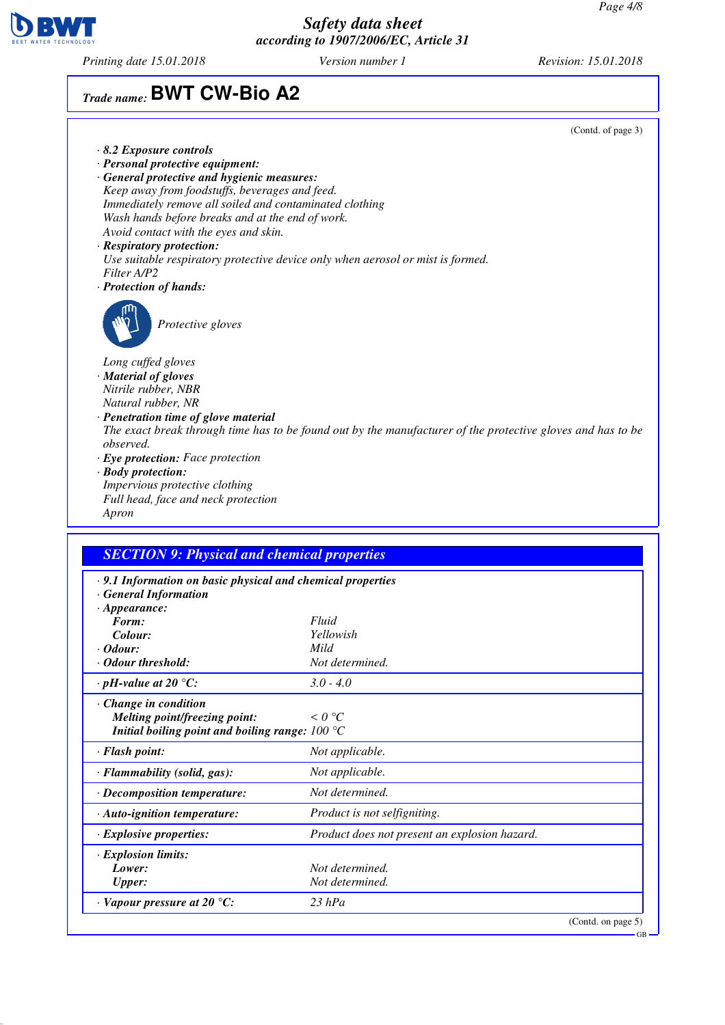

*Printing date 15.01.2018 Version number 1 Revision: 15.01.2018*

## *Trade name:* **BWT CW-Bio A2**

(Contd. of page 3) *· 8.2 Exposure controls · Personal protective equipment: · General protective and hygienic measures: Keep away from foodstuffs, beverages and feed. Immediately remove all soiled and contaminated clothing Wash hands before breaks and at the end of work. Avoid contact with the eyes and skin. · Respiratory protection: Use suitable respiratory protective device only when aerosol or mist is formed. Filter A/P2 · Protection of hands: Protective gloves Long cuffed gloves · Material of gloves Nitrile rubber, NBR Natural rubber, NR · Penetration time of glove material The exact break through time has to be found out by the manufacturer of the protective gloves and has to be observed. · Eye protection: Face protection · Body protection: Impervious protective clothing Full head, face and neck protection Apron*

## *SECTION 9: Physical and chemical properties · 9.1 Information on basic physical and chemical properties · General Information · Appearance: Form: Fluid Colour: Yellowish · Odour: Mild · Odour threshold: Not determined. · pH-value at 20 °C: 3.0 - 4.0 · Change in condition Melting point/freezing point: < 0 °C Initial boiling point and boiling range: 100 °C · Flash point: Not applicable. · Flammability (solid, gas): Not applicable. · Decomposition temperature: Not determined. · Auto-ignition temperature: Product is not selfigniting. · Explosive properties: Product does not present an explosion hazard. · Explosion limits: Lower: Not determined. Upper: Not determined. · Vapour pressure at 20 °C: 23 hPa* (Contd. on page 5) GB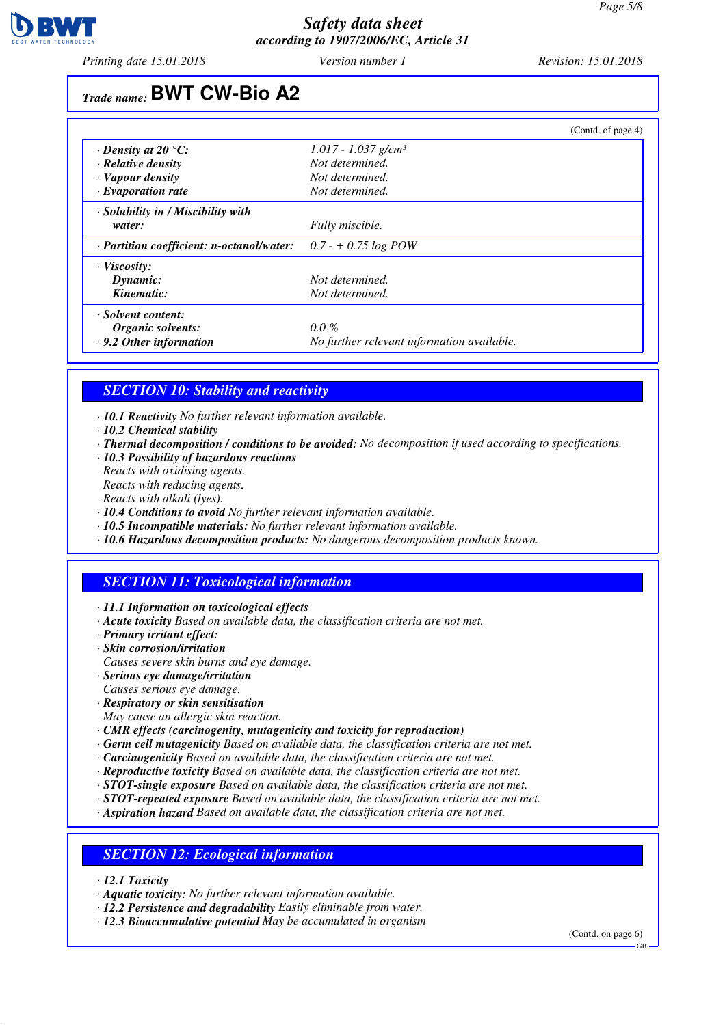

*Printing date 15.01.2018 Version number 1 Revision: 15.01.2018*

# *Trade name:* **BWT CW-Bio A2**

|                                                 | (Contd. of page 4)                         |
|-------------------------------------------------|--------------------------------------------|
| $\cdot$ Density at 20 $\degree$ C:              | $1.017 - 1.037$ g/cm <sup>3</sup>          |
| $\cdot$ Relative density                        | Not determined.                            |
| $\cdot$ Vapour density                          | Not determined.                            |
| $\cdot$ Evaporation rate                        | Not determined.                            |
| · Solubility in / Miscibility with              |                                            |
| water:                                          | Fully miscible.                            |
| $\cdot$ Partition coefficient: n-octanol/water: | $0.7 - +0.75 \log POW$                     |
| $\cdot$ Viscosity:                              |                                            |
| Dynamic:                                        | Not determined.                            |
| Kinematic:                                      | Not determined.                            |
| $\cdot$ Solvent content:                        |                                            |
| Organic solvents:                               | $0.0\%$                                    |
| $\cdot$ 9.2 Other information                   | No further relevant information available. |

## *SECTION 10: Stability and reactivity*

- *· 10.1 Reactivity No further relevant information available.*
- *· 10.2 Chemical stability*
- *· Thermal decomposition / conditions to be avoided: No decomposition if used according to specifications.*
- *· 10.3 Possibility of hazardous reactions*
- *Reacts with oxidising agents. Reacts with reducing agents.*
- *Reacts with alkali (lyes).*
- *· 10.4 Conditions to avoid No further relevant information available.*
- *· 10.5 Incompatible materials: No further relevant information available.*
- *· 10.6 Hazardous decomposition products: No dangerous decomposition products known.*

#### *SECTION 11: Toxicological information*

- *· 11.1 Information on toxicological effects*
- *· Acute toxicity Based on available data, the classification criteria are not met.*
- *· Primary irritant effect:*
- *· Skin corrosion/irritation*
- *Causes severe skin burns and eye damage.*
- *· Serious eye damage/irritation*
- *Causes serious eye damage.*
- *· Respiratory or skin sensitisation*
- *May cause an allergic skin reaction.*
- *· CMR effects (carcinogenity, mutagenicity and toxicity for reproduction)*
- *· Germ cell mutagenicity Based on available data, the classification criteria are not met.*
- *· Carcinogenicity Based on available data, the classification criteria are not met.*
- *· Reproductive toxicity Based on available data, the classification criteria are not met.*
- *· STOT-single exposure Based on available data, the classification criteria are not met.*
- *· STOT-repeated exposure Based on available data, the classification criteria are not met.*
- *· Aspiration hazard Based on available data, the classification criteria are not met.*

#### *SECTION 12: Ecological information*

- *· 12.1 Toxicity*
- *· Aquatic toxicity: No further relevant information available.*
- *· 12.2 Persistence and degradability Easily eliminable from water.*
- *· 12.3 Bioaccumulative potential May be accumulated in organism*

(Contd. on page 6)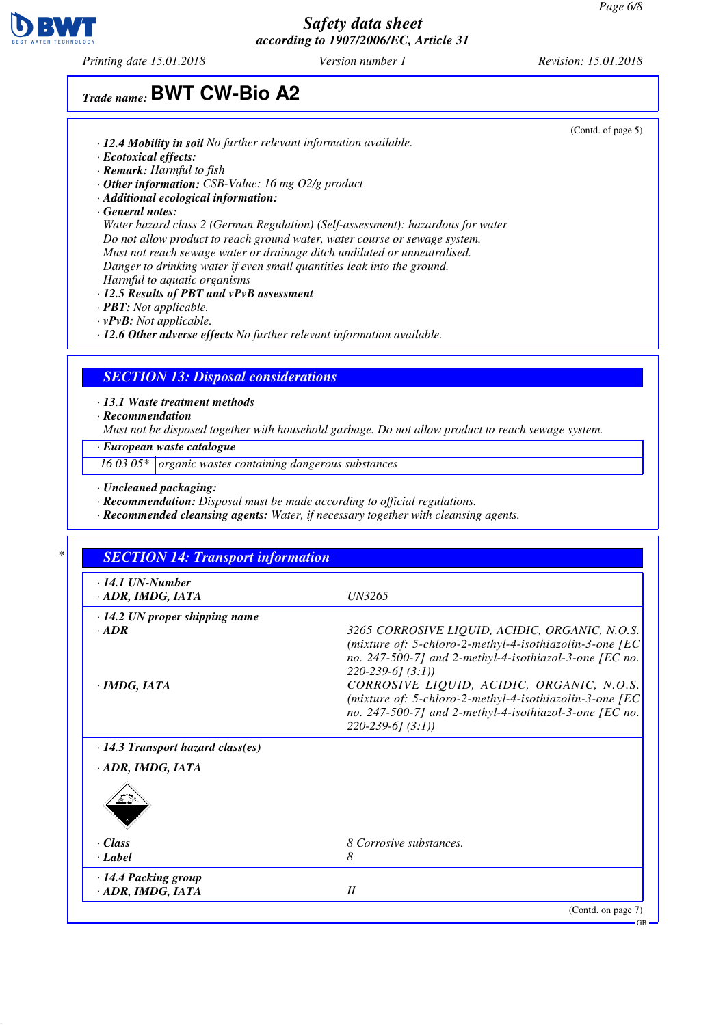

*Printing date 15.01.2018 Version number 1 Revision: 15.01.2018*

(Contd. of page 5)

## *Trade name:* **BWT CW-Bio A2**

- *· 12.4 Mobility in soil No further relevant information available.*
- *· Ecotoxical effects:*
- *· Remark: Harmful to fish*
- *· Other information: CSB-Value: 16 mg O2/g product*
- *· Additional ecological information:*
- *· General notes:*

*Water hazard class 2 (German Regulation) (Self-assessment): hazardous for water Do not allow product to reach ground water, water course or sewage system. Must not reach sewage water or drainage ditch undiluted or unneutralised. Danger to drinking water if even small quantities leak into the ground. Harmful to aquatic organisms*

- *· 12.5 Results of PBT and vPvB assessment*
- *· PBT: Not applicable.*
- *· vPvB: Not applicable.*
- *· 12.6 Other adverse effects No further relevant information available.*

#### *SECTION 13: Disposal considerations*

#### *· 13.1 Waste treatment methods*

*· Recommendation*

*Must not be disposed together with household garbage. Do not allow product to reach sewage system.*

*· European waste catalogue*

*16 03 05\* organic wastes containing dangerous substances*

- *· Uncleaned packaging:*
- *· Recommendation: Disposal must be made according to official regulations.*
- *· Recommended cleansing agents: Water, if necessary together with cleansing agents.*

| $\cdot$ 14.1 UN-Number<br>· ADR, IMDG, IATA     | UN3265                                                                                                                                                                                                      |
|-------------------------------------------------|-------------------------------------------------------------------------------------------------------------------------------------------------------------------------------------------------------------|
| $\cdot$ 14.2 UN proper shipping name<br>$-$ ADR | 3265 CORROSIVE LIQUID, ACIDIC, ORGANIC, N.O.S.<br>(mixture of: 5-chloro-2-methyl-4-isothiazolin-3-one [EC<br>no. 247-500-7] and 2-methyl-4-isothiazol-3-one [EC no.                                         |
| · IMDG, IATA                                    | $220-239-6$ [(3:1)]<br>CORROSIVE LIQUID, ACIDIC, ORGANIC, N.O.S.<br>(mixture of: 5-chloro-2-methyl-4-isothiazolin-3-one [EC<br>no. 247-500-7] and 2-methyl-4-isothiazol-3-one [EC no.<br>$220-239-6$ (3:1)) |
| $\cdot$ 14.3 Transport hazard class(es)         |                                                                                                                                                                                                             |
| · ADR, IMDG, IATA                               |                                                                                                                                                                                                             |
| $\cdot$ Class                                   | 8 Corrosive substances.                                                                                                                                                                                     |
| · Label                                         | 8                                                                                                                                                                                                           |
| · 14.4 Packing group<br>· ADR, IMDG, IATA       | II                                                                                                                                                                                                          |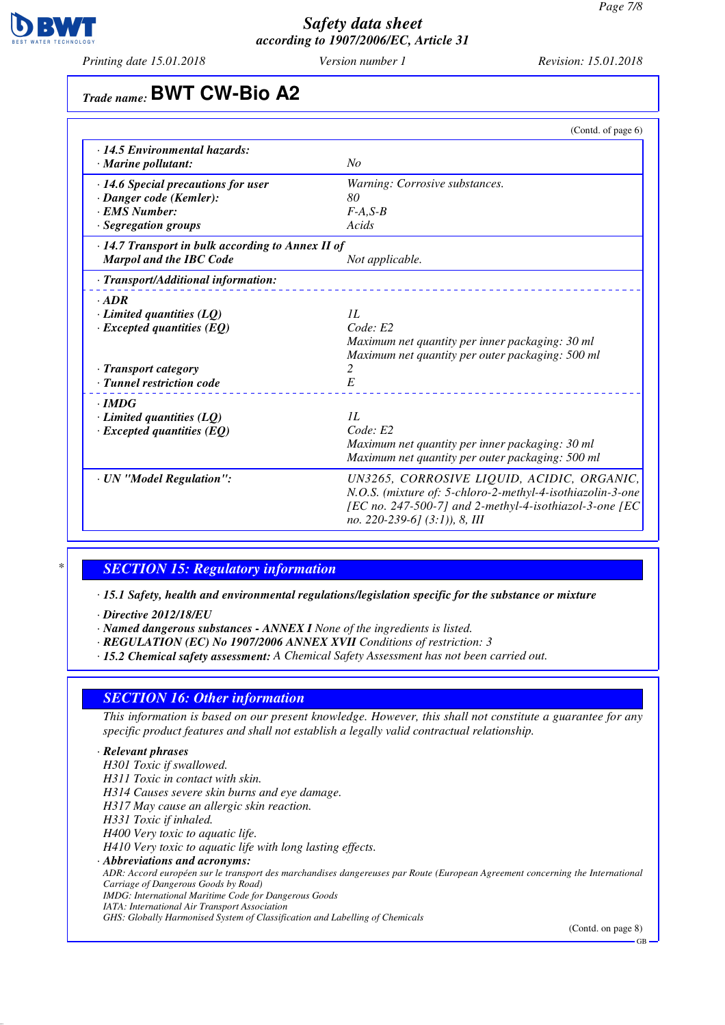

*Printing date 15.01.2018 Version number 1 Revision: 15.01.2018*

# *Trade name:* **BWT CW-Bio A2**

|                                                         | (Contd. of page 6)                                                                                       |
|---------------------------------------------------------|----------------------------------------------------------------------------------------------------------|
| · 14.5 Environmental hazards:                           |                                                                                                          |
| · Marine pollutant:                                     | No                                                                                                       |
| · 14.6 Special precautions for user                     | Warning: Corrosive substances.                                                                           |
| · Danger code (Kemler):                                 | 80                                                                                                       |
| · EMS Number:                                           | $F-A, S-B$                                                                                               |
| · Segregation groups                                    | Acids                                                                                                    |
| $\cdot$ 14.7 Transport in bulk according to Annex II of |                                                                                                          |
| <b>Marpol and the IBC Code</b>                          | Not applicable.                                                                                          |
| · Transport/Additional information:                     |                                                                                                          |
| $\cdot$ ADR                                             |                                                                                                          |
| $\cdot$ Limited quantities (LQ)                         | II.                                                                                                      |
| $\cdot$ Excepted quantities (EQ)                        | Code: E2                                                                                                 |
|                                                         | Maximum net quantity per inner packaging: 30 ml                                                          |
|                                                         | Maximum net quantity per outer packaging: 500 ml<br>2                                                    |
| · Transport category<br>· Tunnel restriction code       | E                                                                                                        |
|                                                         |                                                                                                          |
| $\cdot$ IMDG                                            |                                                                                                          |
| $\cdot$ Limited quantities (LQ)                         | II.<br>Code: E2                                                                                          |
| $\cdot$ Excepted quantities (EQ)                        | Maximum net quantity per inner packaging: 30 ml                                                          |
|                                                         | Maximum net quantity per outer packaging: 500 ml                                                         |
|                                                         |                                                                                                          |
| · UN "Model Regulation":                                | UN3265, CORROSIVE LIQUID, ACIDIC, ORGANIC,<br>N.O.S. (mixture of: 5-chloro-2-methyl-4-isothiazolin-3-one |
|                                                         | [EC no. 247-500-7] and 2-methyl-4-isothiazol-3-one [EC                                                   |
|                                                         | no. 220-239-61 $(3:1)$ ), 8, III                                                                         |
|                                                         |                                                                                                          |

## *\* SECTION 15: Regulatory information*

*· 15.1 Safety, health and environmental regulations/legislation specific for the substance or mixture*

- *· Directive 2012/18/EU*
- *· Named dangerous substances ANNEX I None of the ingredients is listed.*
- *· REGULATION (EC) No 1907/2006 ANNEX XVII Conditions of restriction: 3*
- *· 15.2 Chemical safety assessment: A Chemical Safety Assessment has not been carried out.*

#### *SECTION 16: Other information*

*This information is based on our present knowledge. However, this shall not constitute a guarantee for any specific product features and shall not establish a legally valid contractual relationship.*

### *· Relevant phrases*

*H301 Toxic if swallowed. H311 Toxic in contact with skin. H314 Causes severe skin burns and eye damage. H317 May cause an allergic skin reaction. H331 Toxic if inhaled. H400 Very toxic to aquatic life. H410 Very toxic to aquatic life with long lasting effects. · Abbreviations and acronyms: ADR: Accord européen sur le transport des marchandises dangereuses par Route (European Agreement concerning the International Carriage of Dangerous Goods by Road) IMDG: International Maritime Code for Dangerous Goods IATA: International Air Transport Association GHS: Globally Harmonised System of Classification and Labelling of Chemicals*

(Contd. on page 8)

GB